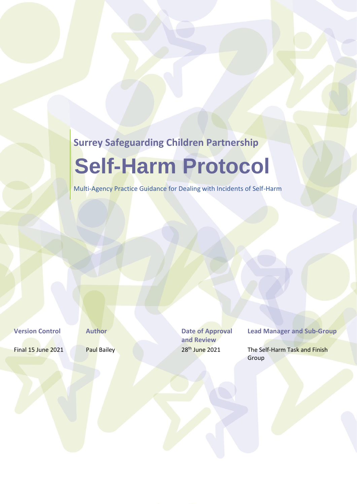# **Surrey Safeguarding Children Partnership**

# **Self-Harm Protocol**

Multi-Agency Practice Guidance for Dealing with Incidents of Self-Harm

**Version Control <b>Author Author Date of Approval and Review**

**Lead Manager and Sub-Group**

Final 15 June 2021 Paul Bailey 28<sup>th</sup> June 2021 The Self-Harm Task and Finish Group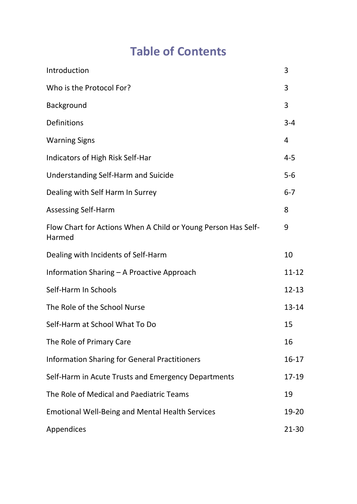# **Table of Contents**

| Introduction                                                            | 3       |
|-------------------------------------------------------------------------|---------|
| Who is the Protocol For?                                                | 3       |
| Background                                                              | 3       |
| Definitions                                                             | $3 - 4$ |
| <b>Warning Signs</b>                                                    | 4       |
| Indicators of High Risk Self-Har                                        | $4 - 5$ |
| <b>Understanding Self-Harm and Suicide</b>                              | $5-6$   |
| Dealing with Self Harm In Surrey                                        | $6 - 7$ |
| <b>Assessing Self-Harm</b>                                              | 8       |
| Flow Chart for Actions When A Child or Young Person Has Self-<br>Harmed | 9       |
| Dealing with Incidents of Self-Harm                                     | 10      |
| Information Sharing - A Proactive Approach                              |         |
| Self-Harm In Schools                                                    |         |
| The Role of the School Nurse                                            |         |
| Self-Harm at School What To Do                                          |         |
| The Role of Primary Care                                                |         |
| <b>Information Sharing for General Practitioners</b>                    |         |
| Self-Harm in Acute Trusts and Emergency Departments                     |         |
| The Role of Medical and Paediatric Teams                                |         |
| <b>Emotional Well-Being and Mental Health Services</b>                  |         |
| Appendices                                                              |         |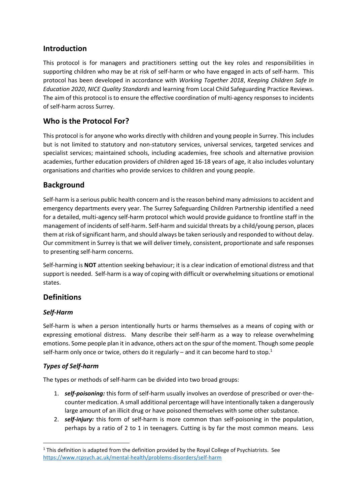# **Introduction**

This protocol is for managers and practitioners setting out the key roles and responsibilities in supporting children who may be at risk of self-harm or who have engaged in acts of self-harm. This protocol has been developed in accordance with *Working Together 2018*, *Keeping Children Safe In Education 2020*, *NICE Quality Standards* and learning from Local Child Safeguarding Practice Reviews. The aim of this protocol is to ensure the effective coordination of multi-agency responses to incidents of self-harm across Surrey.

# **Who is the Protocol For?**

This protocol is for anyone who works directly with children and young people in Surrey. This includes but is not limited to statutory and non-statutory services, universal services, targeted services and specialist services; maintained schools, including academies, free schools and alternative provision academies, further education providers of children aged 16-18 years of age, it also includes voluntary organisations and charities who provide services to children and young people.

# **Background**

Self-harm is a serious public health concern and is the reason behind many admissions to accident and emergency departments every year. The Surrey Safeguarding Children Partnership identified a need for a detailed, multi-agency self-harm protocol which would provide guidance to frontline staff in the management of incidents of self-harm. Self-harm and suicidal threats by a child/young person, places them at risk of significant harm, and should always be taken seriously and responded to without delay. Our commitment in Surrey is that we will deliver timely, consistent, proportionate and safe responses to presenting self-harm concerns.

Self-harming is **NOT** attention seeking behaviour; it is a clear indication of emotional distress and that support is needed. Self-harm is a way of coping with difficult or overwhelming situations or emotional states.

# **Definitions**

### *Self-Harm*

Self-harm is when a person intentionally hurts or harms themselves as a means of coping with or expressing emotional distress. Many describe their self-harm as a way to release overwhelming emotions. Some people plan it in advance, others act on the spur of the moment. Though some people self-harm only once or twice, others do it regularly – and it can become hard to stop.<sup>1</sup>

### *Types of Self-harm*

The types or methods of self-harm can be divided into two broad groups:

- 1. *self-poisoning:* this form of self-harm usually involves an overdose of prescribed or over-thecounter medication. A small additional percentage will have intentionally taken a dangerously large amount of an illicit drug or have poisoned themselves with some other substance.
- 2. *self-injury:* this form of self-harm is more common than self-poisoning in the population, perhaps by a ratio of 2 to 1 in teenagers. Cutting is by far the most common means. Less

 $1$  This definition is adapted from the definition provided by the Royal College of Psychiatrists. See <https://www.rcpsych.ac.uk/mental-health/problems-disorders/self-harm>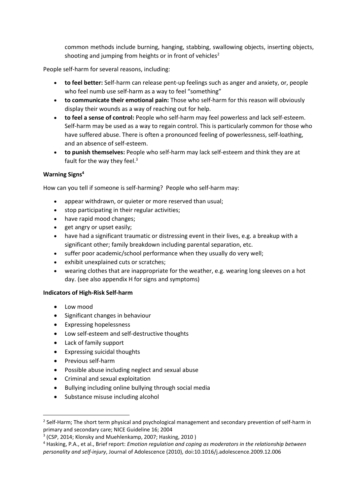common methods include burning, hanging, stabbing, swallowing objects, inserting objects, shooting and jumping from heights or in front of vehicles<sup>2</sup>

People self-harm for several reasons, including:

- **to feel better:** Self-harm can release pent-up feelings such as anger and anxiety, or, people who feel numb use self-harm as a way to feel "something"
- **to communicate their emotional pain:** Those who self-harm for this reason will obviously display their wounds as a way of reaching out for help.
- **to feel a sense of control:** People who self-harm may feel powerless and lack self-esteem. Self-harm may be used as a way to regain control. This is particularly common for those who have suffered abuse. There is often a pronounced feeling of powerlessness, self-loathing, and an absence of self-esteem.
- **to punish themselves:** People who self-harm may lack self-esteem and think they are at fault for the way they feel.<sup>3</sup>

#### **Warning Signs<sup>4</sup>**

How can you tell if someone is self-harming? People who self-harm may:

- appear withdrawn, or quieter or more reserved than usual:
- stop participating in their regular activities;
- have rapid mood changes;
- get angry or upset easily;
- have had a significant traumatic or distressing event in their lives, e.g. a breakup with a significant other; family breakdown including parental separation, etc.
- suffer poor academic/school performance when they usually do very well;
- exhibit unexplained cuts or scratches;
- wearing clothes that are inappropriate for the weather, e.g. wearing long sleeves on a hot day. (see also appendix H for signs and symptoms)

#### **Indicators of High-Risk Self-harm**

- Low mood
- Significant changes in behaviour
- Expressing hopelessness
- Low self-esteem and self-destructive thoughts
- Lack of family support
- Expressing suicidal thoughts
- Previous self-harm
- Possible abuse including neglect and sexual abuse
- Criminal and sexual exploitation
- Bullying including online bullying through social media
- Substance misuse including alcohol

<sup>&</sup>lt;sup>2</sup> Self-Harm; The short term physical and psychological management and secondary prevention of self-harm in primary and secondary care; NICE Guideline 16; 2004

<sup>3</sup> (CSP, 2014; Klonsky and Muehlenkamp, 2007; Hasking, 2010 )

<sup>4</sup> Hasking, P.A., et al., Brief report: *Emotion regulation and coping as moderators in the relationship between personality and self-injury*, Journal of Adolescence (2010), doi:10.1016/j.adolescence.2009.12.006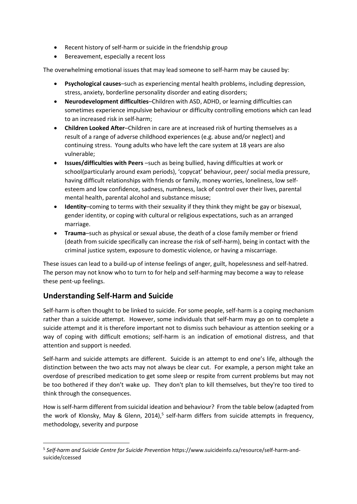- Recent history of self-harm or suicide in the friendship group
- Bereavement, especially a recent loss

The overwhelming emotional issues that may lead someone to self-harm may be caused by:

- **Psychological causes**–such as experiencing mental health problems, including depression, stress, anxiety, borderline personality disorder and eating disorders;
- **Neurodevelopment difficulties**–Children with ASD, ADHD, or learning difficulties can sometimes experience impulsive behaviour or difficulty controlling emotions which can lead to an increased risk in self-harm;
- **Children Looked After**–Children in care are at increased risk of hurting themselves as a result of a range of adverse childhood experiences (e.g. abuse and/or neglect) and continuing stress. Young adults who have left the care system at 18 years are also vulnerable;
- **Issues/difficulties with Peers** –such as being bullied, having difficulties at work or school(particularly around exam periods), 'copycat' behaviour, peer/ social media pressure, having difficult relationships with friends or family, money worries, loneliness, low selfesteem and low confidence, sadness, numbness, lack of control over their lives, parental mental health, parental alcohol and substance misuse;
- **Identity–coming to terms with their sexuality if they think they might be gay or bisexual.** gender identity, or coping with cultural or religious expectations, such as an arranged marriage.
- **Trauma**–such as physical or sexual abuse, the death of a close family member or friend (death from suicide specifically can increase the risk of self-harm), being in contact with the criminal justice system, exposure to domestic violence, or having a miscarriage.

These issues can lead to a build-up of intense feelings of anger, guilt, hopelessness and self-hatred. The person may not know who to turn to for help and self-harming may become a way to release these pent-up feelings.

# **Understanding Self-Harm and Suicide**

Self-harm is often thought to be linked to suicide. For some people, self-harm is a coping mechanism rather than a suicide attempt. However, some individuals that self-harm may go on to complete a suicide attempt and it is therefore important not to dismiss such behaviour as attention seeking or a way of coping with difficult emotions; self-harm is an indication of emotional distress, and that attention and support is needed.

Self-harm and suicide attempts are different. Suicide is an attempt to end one's life, although the distinction between the two acts may not always be clear cut. For example, a person might take an overdose of prescribed medication to get some sleep or respite from current problems but may not be too bothered if they don't wake up. They don't plan to kill themselves, but they're too tired to think through the consequences.

How is self-harm different from suicidal ideation and behaviour? From the table below (adapted from the work of Klonsky, May & Glenn, 2014),<sup>5</sup> self-harm differs from suicide attempts in frequency, methodology, severity and purpose

<sup>5</sup> *Self-harm and Suicide Centre for Suicide Prevention* https://www.suicideinfo.ca/resource/self-harm-andsuicide/ccessed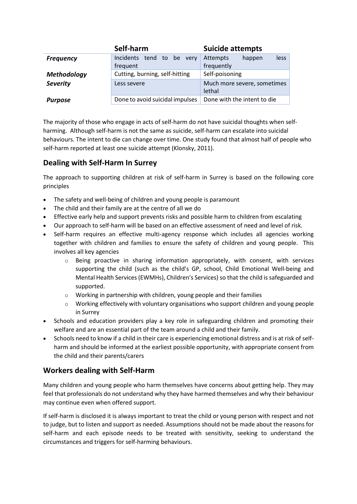|                    | Self-harm                                  | <b>Suicide attempts</b>     |
|--------------------|--------------------------------------------|-----------------------------|
| <b>Frequency</b>   | Incidents tend<br>to be<br>very            | Attempts<br>happen<br>less  |
|                    | frequent                                   | frequently                  |
| <b>Methodology</b> | Cutting, burning, self-hitting             | Self-poisoning              |
| <b>Severity</b>    | Much more severe, sometimes<br>Less severe |                             |
|                    |                                            | lethal                      |
| <b>Purpose</b>     | Done to avoid suicidal impulses            | Done with the intent to die |

The majority of those who engage in acts of self-harm do not have suicidal thoughts when selfharming. Although self-harm is not the same as suicide, self-harm can escalate into suicidal behaviours. The intent to die can change over time. One study found that almost half of people who self-harm reported at least one suicide attempt (Klonsky, 2011).

# **Dealing with Self-Harm In Surrey**

The approach to supporting children at risk of self-harm in Surrey is based on the following core principles

- The safety and well-being of children and young people is paramount
- The child and their family are at the centre of all we do
- Effective early help and support prevents risks and possible harm to children from escalating
- Our approach to self-harm will be based on an effective assessment of need and level of risk.
- Self-harm requires an effective multi-agency response which includes all agencies working together with children and families to ensure the safety of children and young people. This involves all key agencies
	- $\circ$  Being proactive in sharing information appropriately, with consent, with services supporting the child (such as the child's GP, school, Child Emotional Well-being and Mental Health Services (EWMHs), Children's Services) so that the child is safeguarded and supported.
	- o Working in partnership with children, young people and their families
	- $\circ$  Working effectively with voluntary organisations who support children and young people in Surrey
- Schools and education providers play a key role in safeguarding children and promoting their welfare and are an essential part of the team around a child and their family.
- Schools need to know if a child in their care is experiencing emotional distress and is at risk of selfharm and should be informed at the earliest possible opportunity, with appropriate consent from the child and their parents/carers

### **Workers dealing with Self-Harm**

Many children and young people who harm themselves have concerns about getting help. They may feel that professionals do not understand why they have harmed themselves and why their behaviour may continue even when offered support.

If self-harm is disclosed it is always important to treat the child or young person with respect and not to judge, but to listen and support as needed. Assumptions should not be made about the reasons for self-harm and each episode needs to be treated with sensitivity, seeking to understand the circumstances and triggers for self-harming behaviours.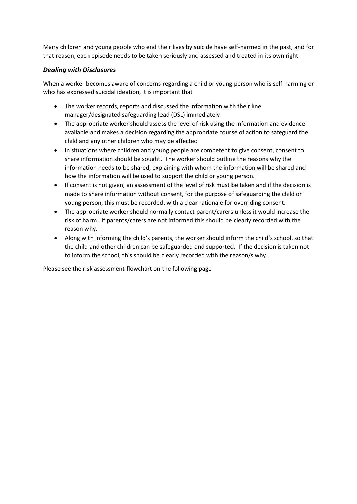Many children and young people who end their lives by suicide have self-harmed in the past, and for that reason, each episode needs to be taken seriously and assessed and treated in its own right.

#### *Dealing with Disclosures*

When a worker becomes aware of concerns regarding a child or young person who is self-harming or who has expressed suicidal ideation, it is important that

- The worker records, reports and discussed the information with their line manager/designated safeguarding lead (DSL) immediately
- The appropriate worker should assess the level of risk using the information and evidence available and makes a decision regarding the appropriate course of action to safeguard the child and any other children who may be affected
- In situations where children and young people are competent to give consent, consent to share information should be sought. The worker should outline the reasons why the information needs to be shared, explaining with whom the information will be shared and how the information will be used to support the child or young person.
- If consent is not given, an assessment of the level of risk must be taken and if the decision is made to share information without consent, for the purpose of safeguarding the child or young person, this must be recorded, with a clear rationale for overriding consent.
- The appropriate worker should normally contact parent/carers unless it would increase the risk of harm. If parents/carers are not informed this should be clearly recorded with the reason why.
- Along with informing the child's parents, the worker should inform the child's school, so that the child and other children can be safeguarded and supported. If the decision is taken not to inform the school, this should be clearly recorded with the reason/s why.

Please see the risk assessment flowchart on the following page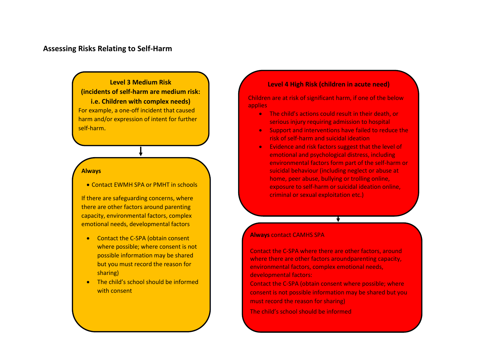#### **Assessing Risks Relating to Self-Harm**

**Level 3 Medium Risk (incidents of self-harm are medium risk: i.e. Children with complex needs)** For example, a one-off incident that caused harm and/or expression of intent for further self-harm.

#### **Always**

• Contact EWMH SPA or PMHT in schools

If there are safeguarding concerns, where there are other factors around parenting capacity, environmental factors, complex emotional needs, developmental factors

- Contact the C-SPA (obtain consent where possible; where consent is not possible information may be shared but you must record the reason for sharing)
- The child's school should be informed with consent

#### **Level 4 High Risk (children in acute need)**

Children are at risk of significant harm, if one of the below applies

- The child's actions could result in their death, or serious injury requiring admission to hospital
- Support and interventions have failed to reduce the risk of self-harm and suicidal ideation
- Evidence and risk factors suggest that the level of emotional and psychological distress, including environmental factors form part of the self-harm or suicidal behaviour (including neglect or abuse at home, peer abuse, bullying or trolling online, exposure to self-harm or suicidal ideation online, criminal or sexual exploitation etc.)

#### **Always** contact CAMHS SPA

Contact the C-SPA where there are other factors, around where there are other factors aroundparenting capacity, environmental factors, complex emotional needs, developmental factors:

Contact the C-SPA (obtain consent where possible; where consent is not possible information may be shared but you must record the reason for sharing)

The child's school should be informed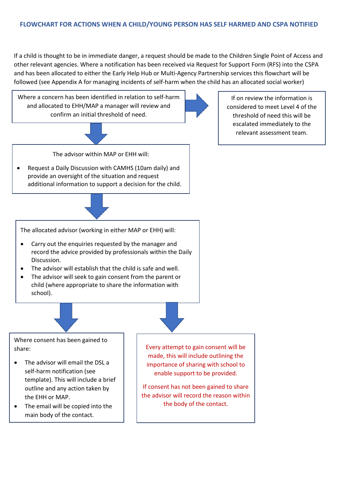If a child is thought to be in immediate danger, a request should be made to the Children Single Point of Access and other relevant agencies. Where a notification has been received via Request for Support Form (RFS) into the CSPA and has been allocated to either the Early Help Hub or Multi-Agency Partnership services this flowchart will be followed (see Appendix A for managing incidents of self-harm when the child has an allocated social worker)





The advisor within MAP or EHH will:

• Request a Daily Discussion with CAMHS (10am daily) and provide an oversight of the situation and request additional information to support a decision for the child.



The allocated advisor (working in either MAP or EHH) will:

- Carry out the enquiries requested by the manager and record the advice provided by professionals within the Daily Discussion.
- The advisor will establish that the child is safe and well.
- The advisor will seek to gain consent from the parent or child (where appropriate to share the information with school).



Where consent has been gained to share:

- The advisor will email the DSL a self-harm notification (see template). This will include a brief outline and any action taken by the EHH or MAP.
- The email will be copied into the main body of the contact.

Every attempt to gain consent will be made, this will include outlining the importance of sharing with school to enable support to be provided.

If consent has not been gained to share the advisor will record the reason within the body of the contact.

If on review the information is considered to meet Level 4 of the threshold of need this will be escalated immediately to the relevant assessment team.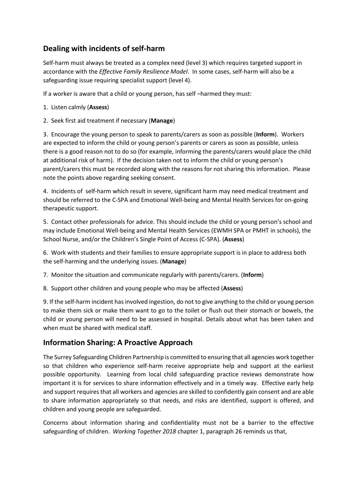# **Dealing with incidents of self-harm**

Self-harm must always be treated as a complex need (level 3) which requires targeted support in accordance with the *Effective Family Resilience Model*. In some cases, self-harm will also be a safeguarding issue requiring specialist support (level 4).

If a worker is aware that a child or young person, has self –harmed they must:

- 1. Listen calmly (**Assess**)
- 2. Seek first aid treatment if necessary (**Manage**)

3. Encourage the young person to speak to parents/carers as soon as possible (**Inform**). Workers are expected to inform the child or young person's parents or carers as soon as possible, unless there is a good reason not to do so (for example, informing the parents/carers would place the child at additional risk of harm). If the decision taken not to inform the child or young person's parent/carers this must be recorded along with the reasons for not sharing this information. Please note the points above regarding seeking consent.

4. Incidents of self-harm which result in severe, significant harm may need medical treatment and should be referred to the C-SPA and Emotional Well-being and Mental Health Services for on-going therapeutic support.

5. Contact other professionals for advice. This should include the child or young person's school and may include Emotional Well-being and Mental Health Services (EWMH SPA or PMHT in schools), the School Nurse, and/or the Children's Single Point of Access (C-SPA). (**Assess**)

6. Work with students and their families to ensure appropriate support is in place to address both the self-harming and the underlying issues. (**Manage**)

7. Monitor the situation and communicate regularly with parents/carers. (**Inform**)

8. Support other children and young people who may be affected (**Assess**)

9. If the self-harm incident has involved ingestion, do not to give anything to the child or young person to make them sick or make them want to go to the toilet or flush out their stomach or bowels, the child or young person will need to be assessed in hospital. Details about what has been taken and when must be shared with medical staff.

# **Information Sharing: A Proactive Approach**

The Surrey Safeguarding Children Partnership is committed to ensuring that all agencies work together so that children who experience self-harm receive appropriate help and support at the earliest possible opportunity. Learning from local child safeguarding practice reviews demonstrate how important it is for services to share information effectively and in a timely way. Effective early help and support requires that all workers and agencies are skilled to confidently gain consent and are able to share information appropriately so that needs, and risks are identified, support is offered, and children and young people are safeguarded.

Concerns about information sharing and confidentiality must not be a barrier to the effective safeguarding of children. *Working Together 2018* chapter 1, paragraph 26 reminds us that,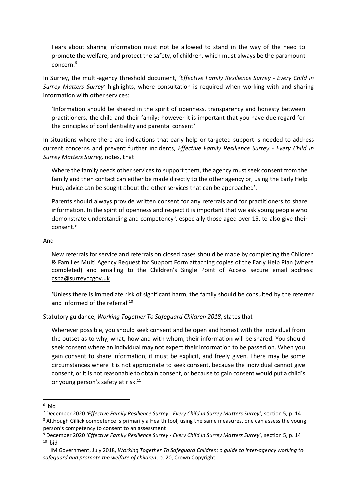Fears about sharing information must not be allowed to stand in the way of the need to promote the welfare, and protect the safety, of children, which must always be the paramount concern.<sup>6</sup>

In Surrey, the multi-agency threshold document, *'Effective Family Resilience Surrey - Every Child in Surrey Matters Surrey'* highlights, where consultation is required when working with and sharing information with other services:

'Information should be shared in the spirit of openness, transparency and honesty between practitioners, the child and their family; however it is important that you have due regard for the principles of confidentiality and parental consent<sup>7</sup>

In situations where there are indications that early help or targeted support is needed to address current concerns and prevent further incidents, *Effective Family Resilience Surrey - Every Child in Surrey Matters Surrey,* notes, that

Where the family needs other services to support them, the agency must seek consent from the family and then contact can either be made directly to the other agency or, using the Early Help Hub, advice can be sought about the other services that can be approached'.

Parents should always provide written consent for any referrals and for practitioners to share information. In the spirit of openness and respect it is important that we ask young people who demonstrate understanding and competency<sup>8</sup>, especially those aged over 15, to also give their  $r$ onsent $9$ 

#### And

New referrals for service and referrals on closed cases should be made by completing the Children & Families Multi Agency Request for Support Form attaching copies of the Early Help Plan (where completed) and emailing to the Children's Single Point of Access secure email address: [cspa@surreyccgov.uk](mailto:cspa@surreyccgov.uk)

'Unless there is immediate risk of significant harm, the family should be consulted by the referrer and informed of the referral'<sup>10</sup>

Statutory guidance, *Working Together To Safeguard Children 2018*, states that

Wherever possible, you should seek consent and be open and honest with the individual from the outset as to why, what, how and with whom, their information will be shared. You should seek consent where an individual may not expect their information to be passed on. When you gain consent to share information, it must be explicit, and freely given. There may be some circumstances where it is not appropriate to seek consent, because the individual cannot give consent, or it is not reasonable to obtain consent, or because to gain consent would put a child's or young person's safety at risk.<sup>11</sup>

<sup>6</sup> Ibid

<sup>7</sup> December 2020 *'Effective Family Resilience Surrey - Every Child in Surrey Matters Surrey',* section 5, p. 14 <sup>8</sup> Although Gillick competence is primarily a Health tool, using the same measures, one can assess the young person's competency to consent to an assessment

<sup>9</sup> December 2020 *'Effective Family Resilience Surrey - Every Child in Surrey Matters Surrey',* section 5, p. 14  $10$  ibid

<sup>11</sup> HM Government, July 2018, *Working Together To Safeguard Children: a guide to inter-agency working to safeguard and promote the welfare of children*, p. 20, Crown Copyright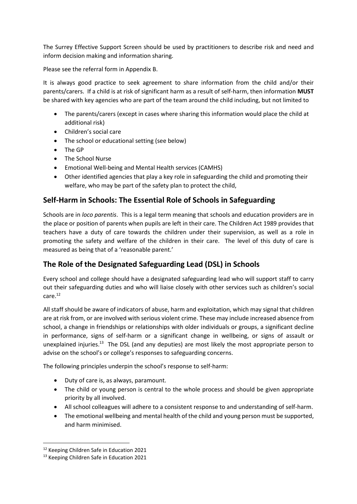The Surrey Effective Support Screen should be used by practitioners to describe risk and need and inform decision making and information sharing.

Please see the referral form in Appendix B.

It is always good practice to seek agreement to share information from the child and/or their parents/carers. If a child is at risk of significant harm as a result of self-harm, then information **MUST** be shared with key agencies who are part of the team around the child including, but not limited to

- The parents/carers (except in cases where sharing this information would place the child at additional risk)
- Children's social care
- The school or educational setting (see below)
- The GP
- The School Nurse
- Emotional Well-being and Mental Health services (CAMHS)
- Other identified agencies that play a key role in safeguarding the child and promoting their welfare, who may be part of the safety plan to protect the child,

# **Self-Harm in Schools: The Essential Role of Schools in Safeguarding**

Schools are in *loco parentis*. This is a legal term meaning that schools and education providers are in the place or position of parents when pupils are left in their care. The Children Act 1989 provides that teachers have a duty of care towards the children under their supervision, as well as a role in promoting the safety and welfare of the children in their care. The level of this duty of care is measured as being that of a 'reasonable parent.'

# **The Role of the Designated Safeguarding Lead (DSL) in Schools**

Every school and college should have a designated safeguarding lead who will support staff to carry out their safeguarding duties and who will liaise closely with other services such as children's social care.<sup>12</sup>

All staff should be aware of indicators of abuse, harm and exploitation, which may signal that children are at risk from, or are involved with serious violent crime. These may include increased absence from school, a change in friendships or relationships with older individuals or groups, a significant decline in performance, signs of self-harm or a significant change in wellbeing, or signs of assault or unexplained injuries.<sup>13</sup> The DSL (and any deputies) are most likely the most appropriate person to advise on the school's or college's responses to safeguarding concerns.

The following principles underpin the school's response to self-harm:

- Duty of care is, as always, paramount.
- The child or young person is central to the whole process and should be given appropriate priority by all involved.
- All school colleagues will adhere to a consistent response to and understanding of self-harm.
- The emotional wellbeing and mental health of the child and young person must be supported, and harm minimised.

<sup>12</sup> Keeping Children Safe in Education 2021

<sup>13</sup> Keeping Children Safe in Education 2021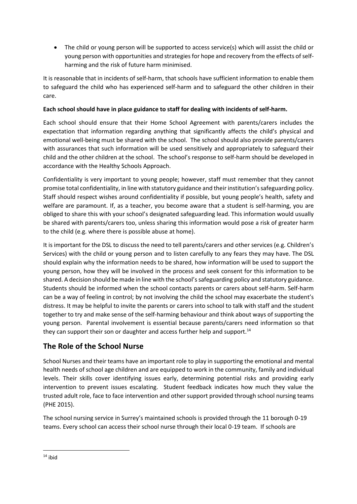• The child or young person will be supported to access service(s) which will assist the child or young person with opportunities and strategies for hope and recovery from the effects of selfharming and the risk of future harm minimised.

It is reasonable that in incidents of self-harm, that schools have sufficient information to enable them to safeguard the child who has experienced self-harm and to safeguard the other children in their care.

#### **Each school should have in place guidance to staff for dealing with incidents of self-harm.**

Each school should ensure that their Home School Agreement with parents/carers includes the expectation that information regarding anything that significantly affects the child's physical and emotional well-being must be shared with the school. The school should also provide parents/carers with assurances that such information will be used sensitively and appropriately to safeguard their child and the other children at the school. The school's response to self-harm should be developed in accordance with the Healthy Schools Approach.

Confidentiality is very important to young people; however, staff must remember that they cannot promise total confidentiality, in line with statutory guidance and their institution's safeguarding policy. Staff should respect wishes around confidentiality if possible, but young people's health, safety and welfare are paramount. If, as a teacher, you become aware that a student is self-harming, you are obliged to share this with your school's designated safeguarding lead. This information would usually be shared with parents/carers too, unless sharing this information would pose a risk of greater harm to the child (e.g. where there is possible abuse at home).

It is important for the DSL to discuss the need to tell parents/carers and other services (e.g. Children's Services) with the child or young person and to listen carefully to any fears they may have. The DSL should explain why the information needs to be shared, how information will be used to support the young person, how they will be involved in the process and seek consent for this information to be shared. A decision should be made in line with the school's safeguarding policy and statutory guidance. Students should be informed when the school contacts parents or carers about self-harm. Self-harm can be a way of feeling in control; by not involving the child the school may exacerbate the student's distress. It may be helpful to invite the parents or carers into school to talk with staff and the student together to try and make sense of the self-harming behaviour and think about ways of supporting the young person. Parental involvement is essential because parents/carers need information so that they can support their son or daughter and access further help and support.<sup>14</sup>

# **The Role of the School Nurse**

School Nurses and their teams have an important role to play in supporting the emotional and mental health needs of school age children and are equipped to work in the community, family and individual levels. Their skills cover identifying issues early, determining potential risks and providing early intervention to prevent issues escalating. Student feedback indicates how much they value the trusted adult role, face to face intervention and other support provided through school nursing teams (PHE 2015).

The school nursing service in Surrey's maintained schools is provided through the 11 borough 0-19 teams. Every school can access their school nurse through their local 0-19 team. If schools are

 $14$  ibid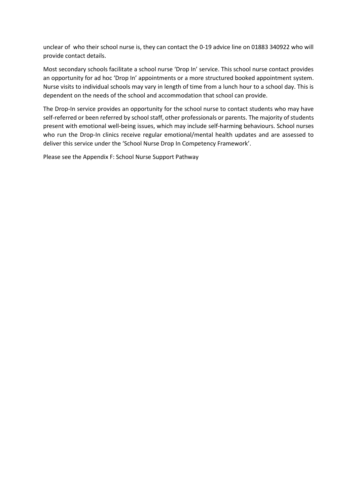unclear of who their school nurse is, they can contact the 0-19 advice line on 01883 340922 who will provide contact details.

Most secondary schools facilitate a school nurse 'Drop In' service. This school nurse contact provides an opportunity for ad hoc 'Drop In' appointments or a more structured booked appointment system. Nurse visits to individual schools may vary in length of time from a lunch hour to a school day. This is dependent on the needs of the school and accommodation that school can provide.

The Drop-In service provides an opportunity for the school nurse to contact students who may have self-referred or been referred by school staff, other professionals or parents. The majority of students present with emotional well-being issues, which may include self-harming behaviours. School nurses who run the Drop-In clinics receive regular emotional/mental health updates and are assessed to deliver this service under the 'School Nurse Drop In Competency Framework'.

Please see the Appendix F: School Nurse Support Pathway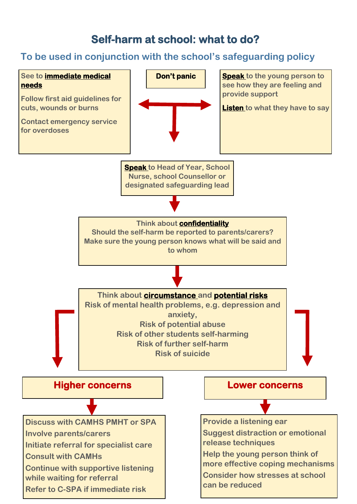# **Self-harm at school: what to do?**

# **To be used in conjunction with the school's safeguarding policy**

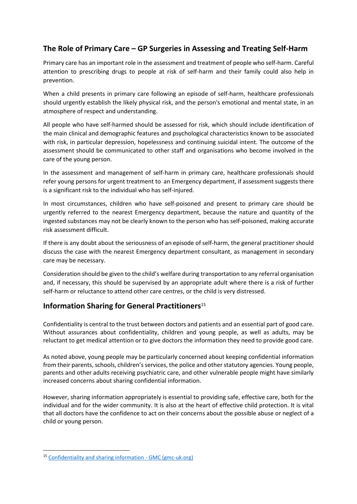# **The Role of Primary Care – GP Surgeries in Assessing and Treating Self-Harm**

Primary care has an important role in the assessment and treatment of people who self-harm. Careful attention to prescribing drugs to people at risk of self-harm and their family could also help in prevention.

When a child presents in primary care following an episode of self-harm, healthcare professionals should urgently establish the likely physical risk, and the person's emotional and mental state, in an atmosphere of respect and understanding.

All people who have self-harmed should be assessed for risk, which should include identification of the main clinical and demographic features and psychological characteristics known to be associated with risk, in particular depression, hopelessness and continuing suicidal intent. The outcome of the assessment should be communicated to other staff and organisations who become involved in the care of the young person.

In the assessment and management of self-harm in primary care, healthcare professionals should refer young persons for urgent treatment to an Emergency department, if assessment suggests there is a significant risk to the individual who has self-injured.

In most circumstances, children who have self-poisoned and present to primary care should be urgently referred to the nearest Emergency department, because the nature and quantity of the ingested substances may not be clearly known to the person who has self-poisoned, making accurate risk assessment difficult.

If there is any doubt about the seriousness of an episode of self-harm, the general practitioner should discuss the case with the nearest Emergency department consultant, as management in secondary care may be necessary.

Consideration should be given to the child's welfare during transportation to any referral organisation and, if necessary, this should be supervised by an appropriate adult where there is a risk of further self-harm or reluctance to attend other care centres, or the child is very distressed.

### **Information Sharing for General Practitioners**<sup>15</sup>

Confidentiality is central to the trust between doctors and patients and an essential part of good care. Without assurances about confidentiality, children and young people, as well as adults, may be reluctant to get medical attention or to give doctors the information they need to provide good care.

As noted above, young people may be particularly concerned about keeping confidential information from their parents, schools, children's services, the police and other statutory agencies. Young people, parents and other adults receiving psychiatric care, and other vulnerable people might have similarly increased concerns about sharing confidential information.

However, sharing information appropriately is essential to providing safe, effective care, both for the individual and for the wider community. It is also at the heart of effective child protection. It is vital that all doctors have the confidence to act on their concerns about the possible abuse or neglect of a child or young person.

<sup>15</sup> [Confidentiality and sharing information -](https://www.gmc-uk.org/ethical-guidance/ethical-guidance-for-doctors/protecting-children-and-young-people/confidentiality-and-sharing-information#:~:text=Information%20can%20be%20shared%20without,at%20risk%20of%20significant%20harm.) GMC (gmc-uk.org)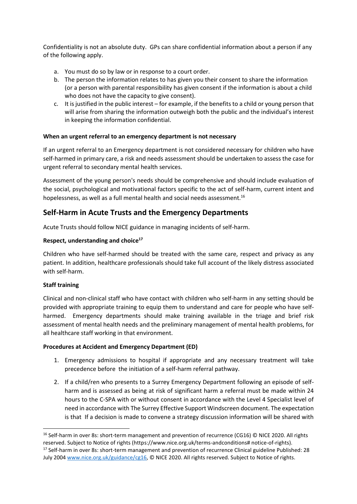Confidentiality is not an absolute duty. GPs can share confidential information about a person if any of the following apply.

- a. You must do so by law or in response to a court order.
- b. The person the information relates to has given you their consent to share the information (or a person with parental responsibility has given consent if the information is about a child who does not have the capacity to give consent).
- c. It is justified in the public interest for example, if the benefits to a child or young person that will arise from sharing the information outweigh both the public and the individual's interest in keeping the information confidential.

#### **When an urgent referral to an emergency department is not necessary**

If an urgent referral to an Emergency department is not considered necessary for children who have self-harmed in primary care, a risk and needs assessment should be undertaken to assess the case for urgent referral to secondary mental health services.

Assessment of the young person's needs should be comprehensive and should include evaluation of the social, psychological and motivational factors specific to the act of self-harm, current intent and hopelessness, as well as a full mental health and social needs assessment.<sup>16</sup>

#### **Self-Harm in Acute Trusts and the Emergency Departments**

Acute Trusts should follow NICE guidance in managing incidents of self-harm.

#### **Respect, understanding and choice<sup>17</sup>**

Children who have self-harmed should be treated with the same care, respect and privacy as any patient. In addition, healthcare professionals should take full account of the likely distress associated with self-harm.

#### **Staff training**

Clinical and non-clinical staff who have contact with children who self-harm in any setting should be provided with appropriate training to equip them to understand and care for people who have selfharmed. Emergency departments should make training available in the triage and brief risk assessment of mental health needs and the preliminary management of mental health problems, for all healthcare staff working in that environment.

#### **Procedures at Accident and Emergency Department (ED)**

- 1. Emergency admissions to hospital if appropriate and any necessary treatment will take precedence before the initiation of a self-harm referral pathway.
- 2. If a child/ren who presents to a Surrey Emergency Department following an episode of selfharm and is assessed as being at risk of significant harm a referral must be made within 24 hours to the C-SPA with or without consent in accordance with the Level 4 Specialist level of need in accordance with The Surrey Effective Support Windscreen document. The expectation is that If a decision is made to convene a strategy discussion information will be shared with

<sup>&</sup>lt;sup>16</sup> Self-harm in over 8s: short-term management and prevention of recurrence (CG16) © NICE 2020. All rights reserved. Subject to Notice of rights (https://www.nice.org.uk/terms-andconditions# notice-of-rights). <sup>17</sup> Self-harm in over 8s: short-term management and prevention of recurrence Clinical guideline Published: 28 July 2004 [www.nice.org.uk/guidance/cg16,](http://www.nice.org.uk/guidance/cg16) © NICE 2020. All rights reserved. Subject to Notice of rights.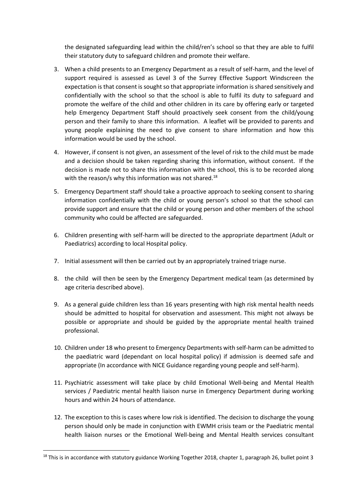the designated safeguarding lead within the child/ren's school so that they are able to fulfil their statutory duty to safeguard children and promote their welfare.

- 3. When a child presents to an Emergency Department as a result of self-harm, and the level of support required is assessed as Level 3 of the Surrey Effective Support Windscreen the expectation is that consent is sought so that appropriate information is shared sensitively and confidentially with the school so that the school is able to fulfil its duty to safeguard and promote the welfare of the child and other children in its care by offering early or targeted help Emergency Department Staff should proactively seek consent from the child/young person and their family to share this information. A leaflet will be provided to parents and young people explaining the need to give consent to share information and how this information would be used by the school.
- 4. However, if consent is not given, an assessment of the level of risk to the child must be made and a decision should be taken regarding sharing this information, without consent. If the decision is made not to share this information with the school, this is to be recorded along with the reason/s why this information was not shared.<sup>18</sup>
- 5. Emergency Department staff should take a proactive approach to seeking consent to sharing information confidentially with the child or young person's school so that the school can provide support and ensure that the child or young person and other members of the school community who could be affected are safeguarded.
- 6. Children presenting with self-harm will be directed to the appropriate department (Adult or Paediatrics) according to local Hospital policy.
- 7. Initial assessment will then be carried out by an appropriately trained triage nurse.
- 8. the child will then be seen by the Emergency Department medical team (as determined by age criteria described above).
- 9. As a general guide children less than 16 years presenting with high risk mental health needs should be admitted to hospital for observation and assessment. This might not always be possible or appropriate and should be guided by the appropriate mental health trained professional.
- 10. Children under 18 who present to Emergency Departments with self-harm can be admitted to the paediatric ward (dependant on local hospital policy) if admission is deemed safe and appropriate (In accordance with NICE Guidance regarding young people and self-harm).
- 11. Psychiatric assessment will take place by child Emotional Well-being and Mental Health services / Paediatric mental health liaison nurse in Emergency Department during working hours and within 24 hours of attendance.
- 12. The exception to this is cases where low risk is identified. The decision to discharge the young person should only be made in conjunction with EWMH crisis team or the Paediatric mental health liaison nurses or the Emotional Well-being and Mental Health services consultant

<sup>&</sup>lt;sup>18</sup> This is in accordance with statutory guidance Working Together 2018, chapter 1, paragraph 26, bullet point 3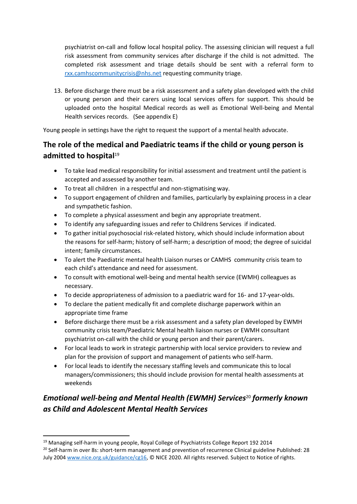psychiatrist on-call and follow local hospital policy. The assessing clinician will request a full risk assessment from community services after discharge if the child is not admitted. The completed risk assessment and triage details should be sent with a referral form to [rxx.camhscommunitycrisis@nhs.net](mailto:rxx.camhscommunitycrisis@nhs.net) requesting community triage.

13. Before discharge there must be a risk assessment and a safety plan developed with the child or young person and their carers using local services offers for support. This should be uploaded onto the hospital Medical records as well as Emotional Well-being and Mental Health services records. (See appendix E)

Young people in settings have the right to request the support of a mental health advocate.

# **The role of the medical and Paediatric teams if the child or young person is**  admitted to hospital<sup>19</sup>

- To take lead medical responsibility for initial assessment and treatment until the patient is accepted and assessed by another team.
- To treat all children in a respectful and non-stigmatising way.
- To support engagement of children and families, particularly by explaining process in a clear and sympathetic fashion.
- To complete a physical assessment and begin any appropriate treatment.
- To identify any safeguarding issues and refer to Childrens Services if indicated.
- To gather initial psychosocial risk-related history, which should include information about the reasons for self-harm; history of self-harm; a description of mood; the degree of suicidal intent; family circumstances.
- To alert the Paediatric mental health Liaison nurses or CAMHS community crisis team to each child's attendance and need for assessment.
- To consult with emotional well-being and mental health service (EWMH) colleagues as necessary.
- To decide appropriateness of admission to a paediatric ward for 16- and 17-year-olds.
- To declare the patient medically fit and complete discharge paperwork within an appropriate time frame
- Before discharge there must be a risk assessment and a safety plan developed by EWMH community crisis team/Paediatric Mental health liaison nurses or EWMH consultant psychiatrist on-call with the child or young person and their parent/carers.
- For local leads to work in strategic partnership with local service providers to review and plan for the provision of support and management of patients who self-harm.
- For local leads to identify the necessary staffing levels and communicate this to local managers/commissioners; this should include provision for mental health assessments at weekends

# *Emotional well-being and Mental Health (EWMH) Services*<sup>20</sup> *formerly known as Child and Adolescent Mental Health Services*

<sup>&</sup>lt;sup>19</sup> Managing self-harm in young people, Royal College of Psychiatrists College Report 192 2014

<sup>&</sup>lt;sup>20</sup> Self-harm in over 8s: short-term management and prevention of recurrence Clinical guideline Published: 28 July 2004 [www.nice.org.uk/guidance/cg16,](http://www.nice.org.uk/guidance/cg16) © NICE 2020. All rights reserved. Subject to Notice of rights.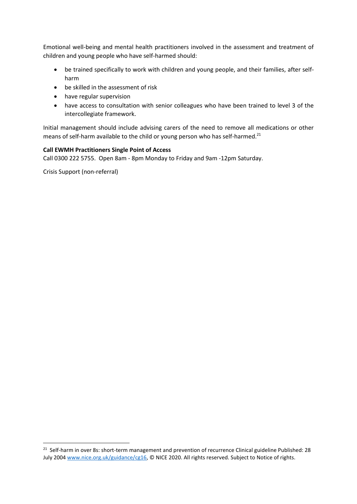Emotional well-being and mental health practitioners involved in the assessment and treatment of children and young people who have self-harmed should:

- be trained specifically to work with children and young people, and their families, after selfharm
- be skilled in the assessment of risk
- have regular supervision
- have access to consultation with senior colleagues who have been trained to level 3 of the intercollegiate framework.

Initial management should include advising carers of the need to remove all medications or other means of self-harm available to the child or young person who has self-harmed.<sup>21</sup>

#### **Call EWMH Practitioners Single Point of Access**

Call 0300 222 5755. Open 8am - 8pm Monday to Friday and 9am -12pm Saturday.

Crisis Support (non-referral)

<sup>&</sup>lt;sup>21</sup> Self-harm in over 8s: short-term management and prevention of recurrence Clinical guideline Published: 28 July 2004 [www.nice.org.uk/guidance/cg16,](http://www.nice.org.uk/guidance/cg16) © NICE 2020. All rights reserved. Subject to Notice of rights.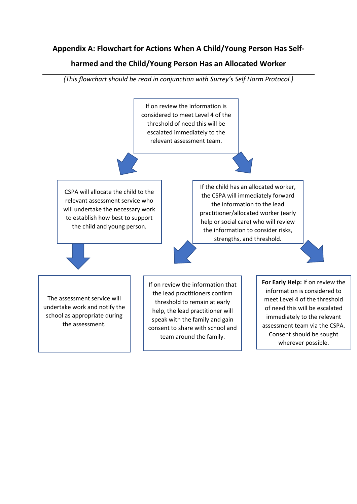# **Appendix A: Flowchart for Actions When A Child/Young Person Has Self-**

## **harmed and the Child/Young Person Has an Allocated Worker**



*(This flowchart should be read in conjunction with Surrey's Self Harm Protocol.)*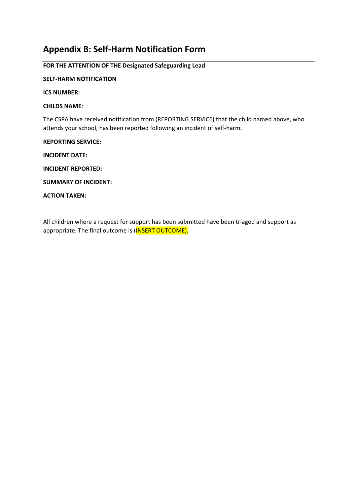# **Appendix B: Self-Harm Notification Form**

#### **FOR THE ATTENTION OF THE Designated Safeguarding Lead**

#### **SELF-HARM NOTIFICATION**

**ICS NUMBER:**

#### **CHILDS NAME**:

The CSPA have received notification from (REPORTING SERVICE) that the child named above, who attends your school, has been reported following an incident of self-harm.

#### **REPORTING SERVICE:**

**INCIDENT DATE:**

**INCIDENT REPORTED:** 

**SUMMARY OF INCIDENT:** 

**ACTION TAKEN:** 

All children where a request for support has been submitted have been triaged and support as appropriate. The final outcome is (INSERT OUTCOME).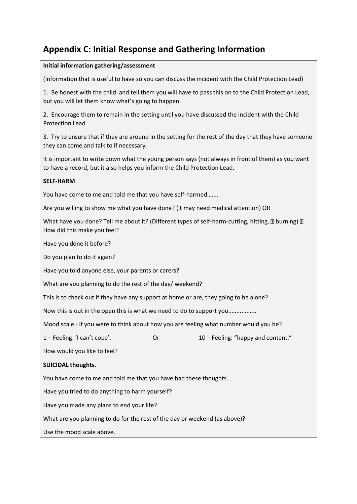# **Appendix C: Initial Response and Gathering Information**

#### **Initial information gathering/assessment**

(Information that is useful to have so you can discuss the incident with the Child Protection Lead)

1. Be honest with the child and tell them you will have to pass this on to the Child Protection Lead, but you will let them know what's going to happen.

2. Encourage them to remain in the setting until you have discussed the incident with the Child Protection Lead

3. Try to ensure that if they are around in the setting for the rest of the day that they have someone they can come and talk to if necessary.

It is important to write down what the young person says (not always in front of them) as you want to have a record, but it also helps you inform the Child Protection Lead.

#### **SELF-HARM**

You have come to me and told me that you have self-harmed…....

Are you willing to show me what you have done? (it may need medical attention) OR

What have you done? Tell me about it? (Different types of self-harm-cutting, hitting,  $\mathbb D$  burning)  $\mathbb D$ How did this make you feel?

Have you done it before?

Do you plan to do it again?

Have you told anyone else, your parents or carers?

What are you planning to do the rest of the day/ weekend?

This is to check out if they have any support at home or are, they going to be alone?

Now this is out in the open this is what we need to do to support you.................

Mood scale - If you were to think about how you are feeling what number would you be?

1 – Feeling: 'I can't cope'. Or 10 – Feeling: "happy and content."

How would you like to feel?

#### **SUICIDAL thoughts.**

You have come to me and told me that you have had these thoughts….

Have you tried to do anything to harm yourself?

Have you made any plans to end your life?

What are you planning to do for the rest of the day or weekend (as above)?

Use the mood scale above.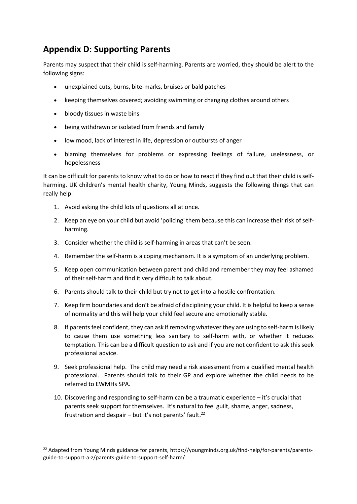# **Appendix D: Supporting Parents**

Parents may suspect that their child is self-harming. Parents are worried, they should be alert to the following signs:

- unexplained cuts, burns, bite-marks, bruises or bald patches
- keeping themselves covered; avoiding swimming or changing clothes around others
- bloody tissues in waste bins
- being withdrawn or isolated from friends and family
- low mood, lack of interest in life, depression or outbursts of anger
- blaming themselves for problems or expressing feelings of failure, uselessness, or hopelessness

It can be difficult for parents to know what to do or how to react if they find out that their child is selfharming. UK children's mental health charity, Young Minds, suggests the following things that can really help:

- 1. Avoid asking the child lots of questions all at once.
- 2. Keep an eye on your child but avoid 'policing' them because this can increase their risk of selfharming.
- 3. Consider whether the child is self-harming in areas that can't be seen.
- 4. Remember the self-harm is a coping mechanism. It is a symptom of an underlying problem.
- 5. Keep open communication between parent and child and remember they may feel ashamed of their self-harm and find it very difficult to talk about.
- 6. Parents should talk to their child but try not to get into a hostile confrontation.
- 7. Keep firm boundaries and don't be afraid of disciplining your child. It is helpful to keep a sense of normality and this will help your child feel secure and emotionally stable.
- 8. If parents feel confident, they can ask if removing whatever they are using to self-harm is likely to cause them use something less sanitary to self-harm with, or whether it reduces temptation. This can be a difficult question to ask and if you are not confident to ask this seek professional advice.
- 9. Seek professional help. The child may need a risk assessment from a qualified mental health professional. Parents should talk to their GP and explore whether the child needs to be referred to EWMHs SPA.
- 10. Discovering and responding to self-harm can be a traumatic experience it's crucial that parents seek support for themselves. It's natural to feel guilt, shame, anger, sadness, frustration and despair - but it's not parents' fault.<sup>22</sup>

<sup>&</sup>lt;sup>22</sup> Adapted from Young Minds guidance for parents, https://youngminds.org.uk/find-help/for-parents/parentsguide-to-support-a-z/parents-guide-to-support-self-harm/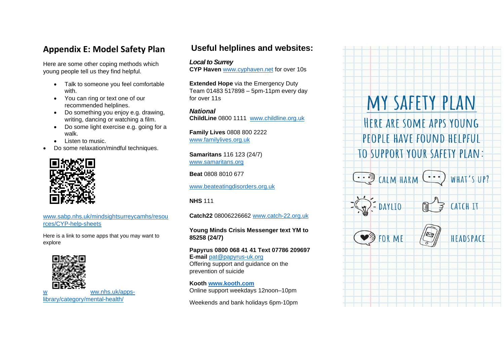# **Appendix E: Model Safety Plan**

Here are some other coping methods which young people tell us they find helpful.

- Talk to someone you feel comfortable with.
- You can ring or text one of our recommended helplines.
- Do something you enjoy e.g. drawing, writing, dancing or watching a film.
- Do some light exercise e.g. going for a walk.
- Listen to music.
- Do some relaxation/mindful techniques.



www.sabp.nhs.uk/mindsightsurreycamhs/resou rces/CYP-help-sheets

Here is a link to some apps that you may want to explore



# **Useful helplines and websites:**

#### *Local to Surrey*

**CYP Haven** www.cyphaven.net for over 10s

**Extended Hope** via the Emergency Duty Team 01483 517898 – 5pm-11pm every day for over 11s

*National* **ChildLine** 0800 1111 www.childline.org.uk

**Family Lives** 0808 800 2222 www.familylives.org.uk

**Samaritans** 116 123 (24/7) www.samaritans.org

**Beat** 0808 8010 677

www.beateatingdisorders.org.uk

**NHS** 111

**Catch22** 08006226662 www.catch-22.org.uk

#### **Young Minds Crisis Messenger text YM to 85258 (24/7)**

**Papyrus 0800 068 41 41 Text 07786 209697 E-mail** pat@papyrus-uk.org Offering support and guidance on the prevention of suicide

**Kooth www.kooth.com** Online support weekdays 12noon–10pm

Weekends and bank holidays 6pm-10pm

# MY SAFETY PLAN HERE ARE SOME APPS YOUNG PEOPLE HAVE FOUND HELPFUL TO SUPPORT YOUR SAFETY PLAN:  $\therefore$  CALM HARM WHAT'S UP?  $=$  DAYLIO **CATCH IT**



HEADSPACE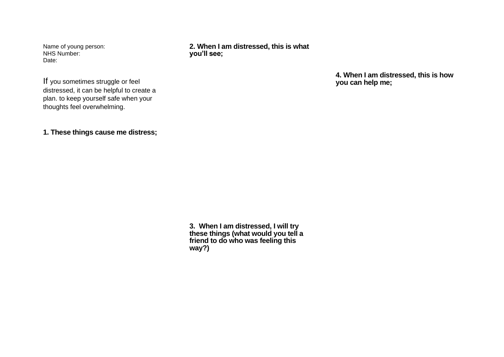Name of young person: NHS Number: Date:

**2. When I am distressed, this is what you'll see;**

> **4. When I am distressed, this is how you can help me;**

If you sometimes struggle or feel distressed, it can be helpful to create a plan. to keep yourself safe when your thoughts feel overwhelming.

**1. These things cause me distress;**

**3. When I am distressed, I will try these things (what would you tell a friend to do who was feeling this way?)**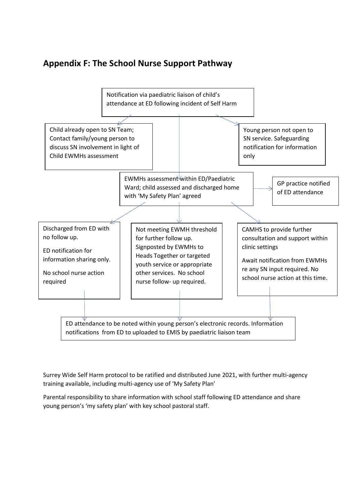# **Appendix F: The School Nurse Support Pathway**



Surrey Wide Self Harm protocol to be ratified and distributed June 2021, with further multi-agency training available, including multi-agency use of 'My Safety Plan'

Parental responsibility to share information with school staff following ED attendance and share young person's 'my safety plan' with key school pastoral staff.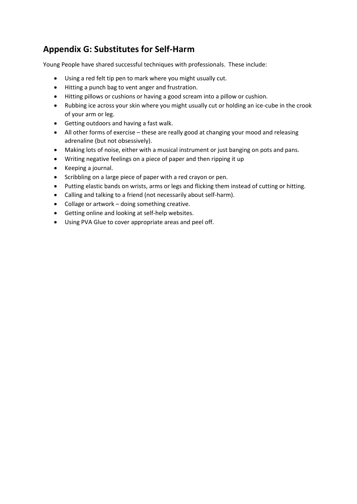# **Appendix G: Substitutes for Self-Harm**

Young People have shared successful techniques with professionals. These include:

- Using a red felt tip pen to mark where you might usually cut.
- Hitting a punch bag to vent anger and frustration.
- Hitting pillows or cushions or having a good scream into a pillow or cushion.
- Rubbing ice across your skin where you might usually cut or holding an ice-cube in the crook of your arm or leg.
- Getting outdoors and having a fast walk.
- All other forms of exercise these are really good at changing your mood and releasing adrenaline (but not obsessively).
- Making lots of noise, either with a musical instrument or just banging on pots and pans.
- Writing negative feelings on a piece of paper and then ripping it up
- Keeping a journal.
- Scribbling on a large piece of paper with a red crayon or pen.
- Putting elastic bands on wrists, arms or legs and flicking them instead of cutting or hitting.
- Calling and talking to a friend (not necessarily about self-harm).
- Collage or artwork doing something creative.
- Getting online and looking at self-help websites.
- Using PVA Glue to cover appropriate areas and peel off.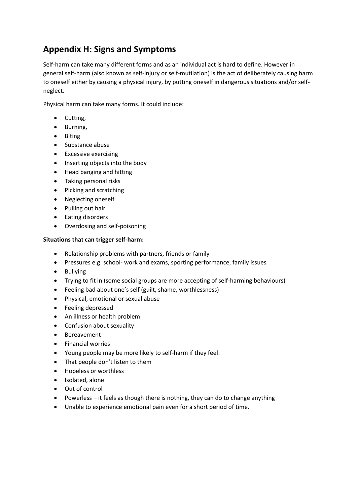# **Appendix H: Signs and Symptoms**

Self-harm can take many different forms and as an individual act is hard to define. However in general self-harm (also known as self-injury or self-mutilation) is the act of deliberately causing harm to oneself either by causing a physical injury, by putting oneself in dangerous situations and/or selfneglect.

Physical harm can take many forms. It could include:

- Cutting,
- Burning,
- Biting
- Substance abuse
- Excessive exercising
- Inserting objects into the body
- Head banging and hitting
- Taking personal risks
- Picking and scratching
- Neglecting oneself
- Pulling out hair
- Eating disorders
- Overdosing and self-poisoning

#### **Situations that can trigger self-harm:**

- Relationship problems with partners, friends or family
- Pressures e.g. school- work and exams, sporting performance, family issues
- Bullying
- Trying to fit in (some social groups are more accepting of self-harming behaviours)
- Feeling bad about one's self (guilt, shame, worthlessness)
- Physical, emotional or sexual abuse
- Feeling depressed
- An illness or health problem
- Confusion about sexuality
- Bereavement
- Financial worries
- Young people may be more likely to self-harm if they feel:
- That people don't listen to them
- Hopeless or worthless
- Isolated, alone
- Out of control
- Powerless it feels as though there is nothing, they can do to change anything
- Unable to experience emotional pain even for a short period of time.